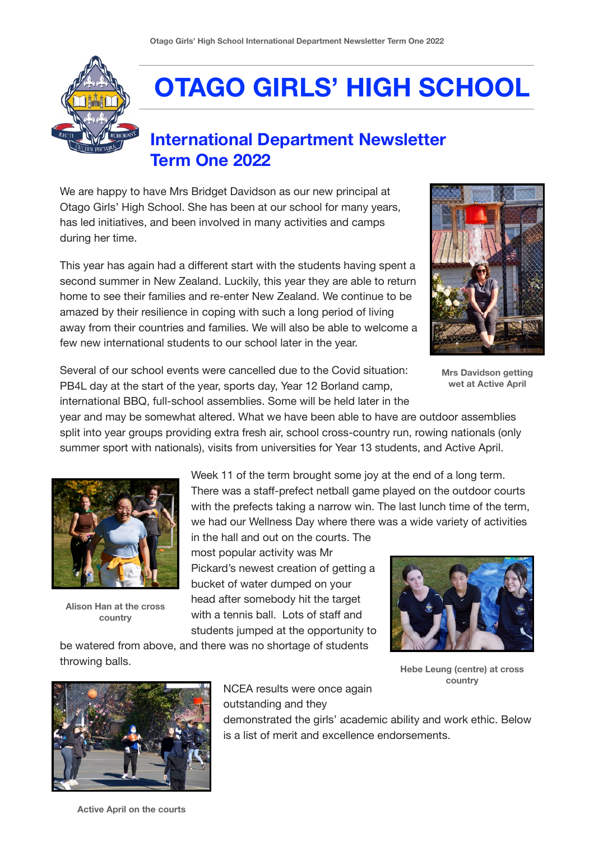

## **OTAGO GIRLS' HIGH SCHOOL**

## **International Department Newsletter Term One 2022**

We are happy to have Mrs Bridget Davidson as our new principal at Otago Girls' High School. She has been at our school for many years, has led initiatives, and been involved in many activities and camps during her time.

This year has again had a different start with the students having spent a second summer in New Zealand. Luckily, this year they are able to return home to see their families and re-enter New Zealand. We continue to be amazed by their resilience in coping with such a long period of living away from their countries and families. We will also be able to welcome a few new international students to our school later in the year.



**Mrs Davidson getting wet at Active April**

Several of our school events were cancelled due to the Covid situation: PB4L day at the start of the year, sports day, Year 12 Borland camp, international BBQ, full-school assemblies. Some will be held later in the

be watered from above, and there was no shortage of students

year and may be somewhat altered. What we have been able to have are outdoor assemblies split into year groups providing extra fresh air, school cross-country run, rowing nationals (only summer sport with nationals), visits from universities for Year 13 students, and Active April.



**Alison Han at the cross country**

throwing balls.

Week 11 of the term brought some joy at the end of a long term. There was a staff-prefect netball game played on the outdoor courts with the prefects taking a narrow win. The last lunch time of the term, we had our Wellness Day where there was a wide variety of activities

in the hall and out on the courts. The most popular activity was Mr Pickard's newest creation of getting a bucket of water dumped on your head after somebody hit the target with a tennis ball. Lots of staff and students jumped at the opportunity to



**Hebe Leung (centre) at cross country**



NCEA results were once again outstanding and they

demonstrated the girls' academic ability and work ethic. Below is a list of merit and excellence endorsements.

**Active April on the courts**